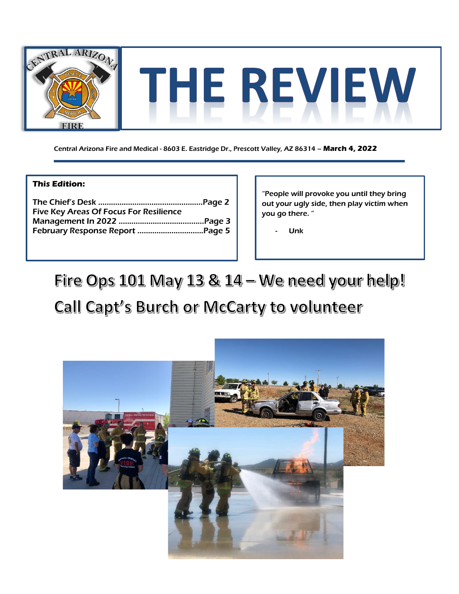

Central Arizona Fire and Medical - 8603 E. Eastridge Dr., Prescott Valley, AZ 86314 – **March 4, 2022**

#### **This Edition:**

"People will provoke you until they bring out your ugly side, then play victim when you go there. "

**Unk** 

Fire Ops 101 May 13 & 14 - We need your help! Call Capt's Burch or McCarty to volunteer

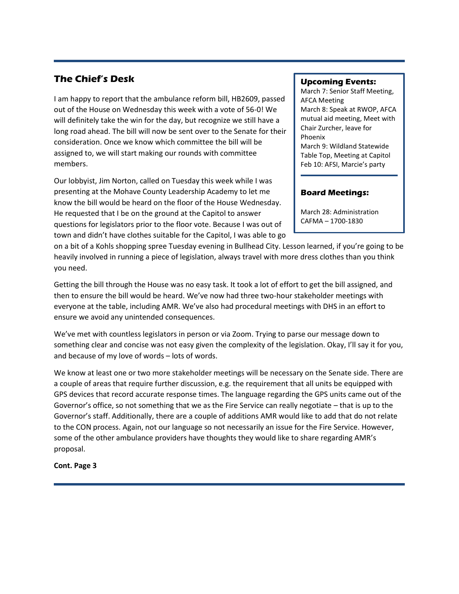# **The Chief's Desk**

I am happy to report that the ambulance reform bill, HB2609, passed out of the House on Wednesday this week with a vote of 56-0! We will definitely take the win for the day, but recognize we still have a long road ahead. The bill will now be sent over to the Senate for their consideration. Once we know which committee the bill will be assigned to, we will start making our rounds with committee members.

Our lobbyist, Jim Norton, called on Tuesday this week while I was presenting at the Mohave County Leadership Academy to let me know the bill would be heard on the floor of the House Wednesday. He requested that I be on the ground at the Capitol to answer questions for legislators prior to the floor vote. Because I was out of town and didn't have clothes suitable for the Capitol, I was able to go

#### **Upcoming Events:**

March 7: Senior Staff Meeting, AFCA Meeting March 8: Speak at RWOP, AFCA mutual aid meeting, Meet with Chair Zurcher, leave for Phoenix March 9: Wildland Statewide Table Top, Meeting at Capitol Feb 10: AFSI, Marcie's party

#### **Board Meetings:**

March 28: Administration CAFMA – 1700-1830

on a bit of a Kohls shopping spree Tuesday evening in Bullhead City. Lesson learned, if you're going to be heavily involved in running a piece of legislation, always travel with more dress clothes than you think you need.

Getting the bill through the House was no easy task. It took a lot of effort to get the bill assigned, and then to ensure the bill would be heard. We've now had three two-hour stakeholder meetings with everyone at the table, including AMR. We've also had procedural meetings with DHS in an effort to ensure we avoid any unintended consequences.

We've met with countless legislators in person or via Zoom. Trying to parse our message down to something clear and concise was not easy given the complexity of the legislation. Okay, I'll say it for you, and because of my love of words – lots of words.

We know at least one or two more stakeholder meetings will be necessary on the Senate side. There are a couple of areas that require further discussion, e.g. the requirement that all units be equipped with GPS devices that record accurate response times. The language regarding the GPS units came out of the Governor's office, so not something that we as the Fire Service can really negotiate – that is up to the Governor's staff. Additionally, there are a couple of additions AMR would like to add that do not relate to the CON process. Again, not our language so not necessarily an issue for the Fire Service. However, some of the other ambulance providers have thoughts they would like to share regarding AMR's proposal.

#### **Cont. Page 3**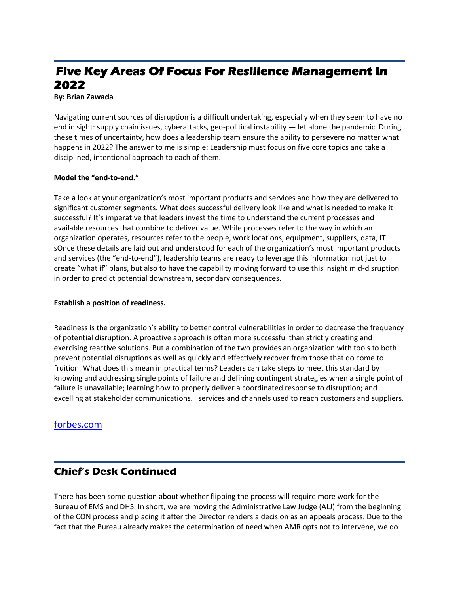# **Five Key Areas Of Focus For Resilience Management In 2022**

#### **By: Brian Zawada**

Navigating current sources of disruption is a difficult undertaking, especially when they seem to have no end in sight: supply chain issues, cyberattacks, geo-political instability — let alone the pandemic. During these times of uncertainty, how does a leadership team ensure the ability to persevere no matter what happens in 2022? The answer to me is simple: Leadership must focus on five core topics and take a disciplined, intentional approach to each of them.

#### **Model the "end-to-end."**

Take a look at your organization's most important products and services and how they are delivered to significant customer segments. What does successful delivery look like and what is needed to make it successful? It's imperative that leaders invest the time to understand the current processes and available resources that combine to deliver value. While processes refer to the way in which an organization operates, resources refer to the people, work locations, equipment, suppliers, data, IT sOnce these details are laid out and understood for each of the organization's most important products and services (the "end-to-end"), leadership teams are ready to leverage this information not just to create "what if" plans, but also to have the capability moving forward to use this insight mid-disruption in order to predict potential downstream, secondary consequences.

#### **Establish a position of readiness.**

Readiness is the organization's ability to better control vulnerabilities in order to decrease the frequency of potential disruption. A proactive approach is often more successful than strictly creating and exercising reactive solutions. But a combination of the two provides an organization with tools to both prevent potential disruptions as well as quickly and effectively recover from those that do come to fruition. What does this mean in practical terms? Leaders can take steps to meet this standard by knowing and addressing single points of failure and defining contingent strategies when a single point of failure is unavailable; learning how to properly deliver a coordinated response to disruption; and excelling at stakeholder communications. services and channels used to reach customers and suppliers.

# [forbes.com](https://www.forbes.com/sites/forbesbusinesscouncil/2022/02/10/five-key-areas-of-focus-for-resilience-management-in-2022/?sh=63778177c6ab)

# **Chief's Desk Continued**

There has been some question about whether flipping the process will require more work for the Bureau of EMS and DHS. In short, we are moving the Administrative Law Judge (ALJ) from the beginning of the CON process and placing it after the Director renders a decision as an appeals process. Due to the fact that the Bureau already makes the determination of need when AMR opts not to intervene, we do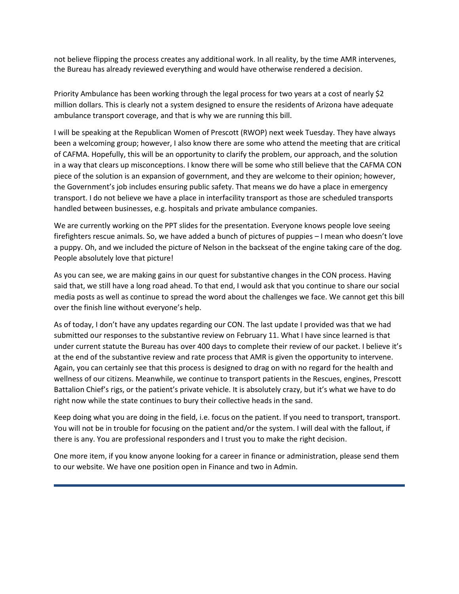not believe flipping the process creates any additional work. In all reality, by the time AMR intervenes, the Bureau has already reviewed everything and would have otherwise rendered a decision.

Priority Ambulance has been working through the legal process for two years at a cost of nearly \$2 million dollars. This is clearly not a system designed to ensure the residents of Arizona have adequate ambulance transport coverage, and that is why we are running this bill.

I will be speaking at the Republican Women of Prescott (RWOP) next week Tuesday. They have always been a welcoming group; however, I also know there are some who attend the meeting that are critical of CAFMA. Hopefully, this will be an opportunity to clarify the problem, our approach, and the solution in a way that clears up misconceptions. I know there will be some who still believe that the CAFMA CON piece of the solution is an expansion of government, and they are welcome to their opinion; however, the Government's job includes ensuring public safety. That means we do have a place in emergency transport. I do not believe we have a place in interfacility transport as those are scheduled transports handled between businesses, e.g. hospitals and private ambulance companies.

We are currently working on the PPT slides for the presentation. Everyone knows people love seeing firefighters rescue animals. So, we have added a bunch of pictures of puppies – I mean who doesn't love a puppy. Oh, and we included the picture of Nelson in the backseat of the engine taking care of the dog. People absolutely love that picture!

As you can see, we are making gains in our quest for substantive changes in the CON process. Having said that, we still have a long road ahead. To that end, I would ask that you continue to share our social media posts as well as continue to spread the word about the challenges we face. We cannot get this bill over the finish line without everyone's help.

As of today, I don't have any updates regarding our CON. The last update I provided was that we had submitted our responses to the substantive review on February 11. What I have since learned is that under current statute the Bureau has over 400 days to complete their review of our packet. I believe it's at the end of the substantive review and rate process that AMR is given the opportunity to intervene. Again, you can certainly see that this process is designed to drag on with no regard for the health and wellness of our citizens. Meanwhile, we continue to transport patients in the Rescues, engines, Prescott Battalion Chief's rigs, or the patient's private vehicle. It is absolutely crazy, but it's what we have to do right now while the state continues to bury their collective heads in the sand.

Keep doing what you are doing in the field, i.e. focus on the patient. If you need to transport, transport. You will not be in trouble for focusing on the patient and/or the system. I will deal with the fallout, if there is any. You are professional responders and I trust you to make the right decision.

One more item, if you know anyone looking for a career in finance or administration, please send them to our website. We have one position open in Finance and two in Admin.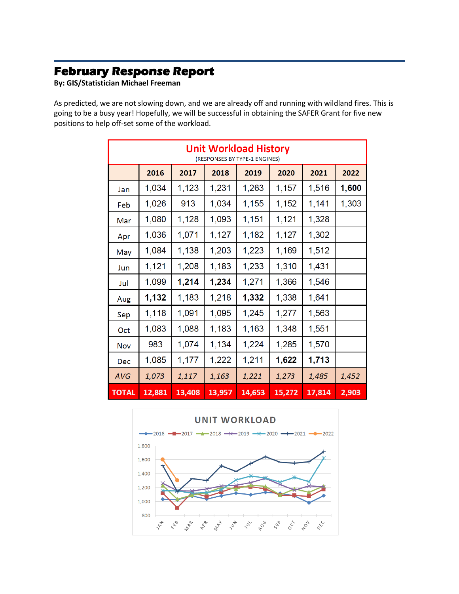# **February Response Report**

**By: GIS/Statistician Michael Freeman** 

As predicted, we are not slowing down, and we are already off and running with wildland fires. This is going to be a busy year! Hopefully, we will be successful in obtaining the SAFER Grant for five new positions to help off-set some of the workload.

| <b>Unit Workload History</b><br>(RESPONSES BY TYPE-1 ENGINES) |        |        |        |        |        |        |       |
|---------------------------------------------------------------|--------|--------|--------|--------|--------|--------|-------|
|                                                               | 2016   | 2017   | 2018   | 2019   | 2020   | 2021   | 2022  |
| Jan                                                           | 1,034  | 1,123  | 1,231  | 1,263  | 1,157  | 1,516  | 1,600 |
| Feb                                                           | 1,026  | 913    | 1,034  | 1,155  | 1,152  | 1,141  | 1,303 |
| Mar                                                           | 1,080  | 1,128  | 1,093  | 1,151  | 1,121  | 1,328  |       |
| Apr                                                           | 1,036  | 1,071  | 1,127  | 1,182  | 1,127  | 1,302  |       |
| May                                                           | 1,084  | 1,138  | 1,203  | 1,223  | 1,169  | 1,512  |       |
| Jun                                                           | 1,121  | 1,208  | 1,183  | 1,233  | 1,310  | 1,431  |       |
| Jul                                                           | 1,099  | 1,214  | 1,234  | 1,271  | 1,366  | 1,546  |       |
| Aug                                                           | 1,132  | 1,183  | 1,218  | 1,332  | 1,338  | 1,641  |       |
| Sep                                                           | 1,118  | 1,091  | 1,095  | 1,245  | 1,277  | 1,563  |       |
| Oct                                                           | 1,083  | 1,088  | 1,183  | 1,163  | 1,348  | 1,551  |       |
| Nov                                                           | 983    | 1,074  | 1,134  | 1,224  | 1,285  | 1,570  |       |
| Dec                                                           | 1,085  | 1,177  | 1,222  | 1,211  | 1,622  | 1,713  |       |
| <b>AVG</b>                                                    | 1,073  | 1,117  | 1,163  | 1,221  | 1,273  | 1,485  | 1,452 |
| <b>TOTAL</b>                                                  | 12,881 | 13,408 | 13,957 | 14,653 | 15,272 | 17,814 | 2,903 |